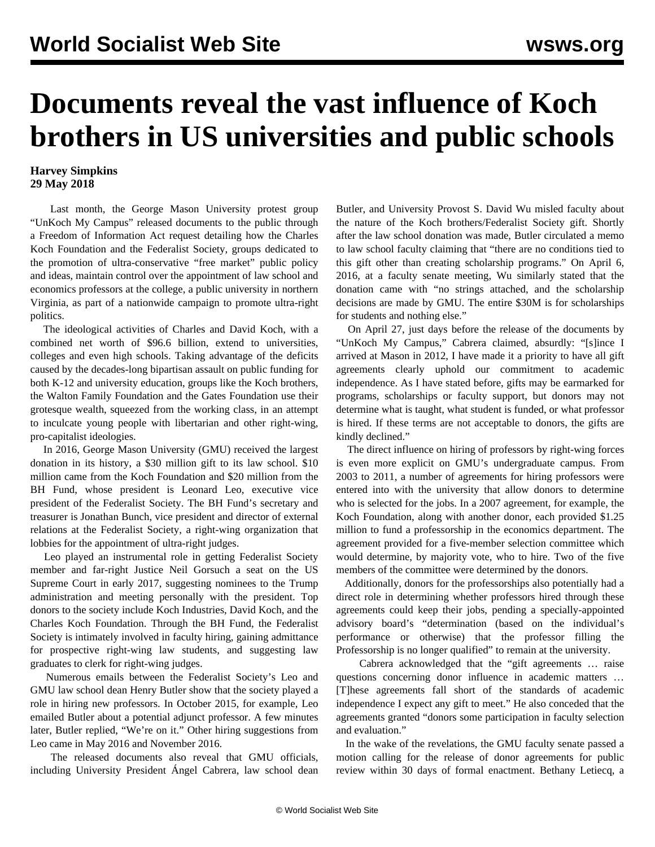## **Documents reveal the vast influence of Koch brothers in US universities and public schools**

## **Harvey Simpkins 29 May 2018**

 Last month, the George Mason University protest group "UnKoch My Campus" released documents to the public through a Freedom of Information Act request detailing how the Charles Koch Foundation and the Federalist Society, groups dedicated to the promotion of ultra-conservative "free market" public policy and ideas, maintain control over the appointment of law school and economics professors at the college, a public university in northern Virginia, as part of a nationwide campaign to promote ultra-right politics.

 The ideological activities of Charles and David Koch, with a combined net worth of \$96.6 billion, extend to universities, colleges and even high schools. Taking advantage of the deficits caused by the decades-long bipartisan assault on public funding for both K-12 and university education, groups like the Koch brothers, the Walton Family Foundation and the Gates Foundation use their grotesque wealth, squeezed from the working class, in an attempt to inculcate young people with libertarian and other right-wing, pro-capitalist ideologies.

 In 2016, George Mason University (GMU) received the largest donation in its history, a \$30 million gift to its law school. \$10 million came from the Koch Foundation and \$20 million from the BH Fund, whose president is Leonard Leo, executive vice president of the Federalist Society. The BH Fund's secretary and treasurer is Jonathan Bunch, vice president and director of external relations at the Federalist Society, a right-wing organization that lobbies for the appointment of ultra-right judges.

 Leo played an instrumental role in getting Federalist Society member and far-right Justice Neil Gorsuch a seat on the US Supreme Court in early 2017, suggesting nominees to the Trump administration and meeting personally with the president. Top donors to the society include Koch Industries, David Koch, and the Charles Koch Foundation. Through the BH Fund, the Federalist Society is intimately involved in faculty hiring, gaining admittance for prospective right-wing law students, and suggesting law graduates to clerk for right-wing judges.

 Numerous emails between the Federalist Society's Leo and GMU law school dean Henry Butler show that the society played a role in hiring new professors. In October 2015, for example, Leo emailed Butler about a potential adjunct professor. A few minutes later, Butler replied, "We're on it." Other hiring suggestions from Leo came in May 2016 and November 2016.

 The released documents also reveal that GMU officials, including University President Ángel Cabrera, law school dean Butler, and University Provost S. David Wu misled faculty about the nature of the Koch brothers/Federalist Society gift. Shortly after the law school donation was made, Butler circulated a memo to law school faculty claiming that "there are no conditions tied to this gift other than creating scholarship programs." On April 6, 2016, at a faculty senate meeting, Wu similarly stated that the donation came with "no strings attached, and the scholarship decisions are made by GMU. The entire \$30M is for scholarships for students and nothing else."

 On April 27, just days before the release of the documents by "UnKoch My Campus," Cabrera claimed, absurdly: "[s]ince I arrived at Mason in 2012, I have made it a priority to have all gift agreements clearly uphold our commitment to academic independence. As I have stated before, gifts may be earmarked for programs, scholarships or faculty support, but donors may not determine what is taught, what student is funded, or what professor is hired. If these terms are not acceptable to donors, the gifts are kindly declined."

 The direct influence on hiring of professors by right-wing forces is even more explicit on GMU's undergraduate campus. From 2003 to 2011, a number of agreements for hiring professors were entered into with the university that allow donors to determine who is selected for the jobs. In a 2007 agreement, for example, the Koch Foundation, along with another donor, each provided \$1.25 million to fund a professorship in the economics department. The agreement provided for a five-member selection committee which would determine, by majority vote, who to hire. Two of the five members of the committee were determined by the donors.

 Additionally, donors for the professorships also potentially had a direct role in determining whether professors hired through these agreements could keep their jobs, pending a specially-appointed advisory board's "determination (based on the individual's performance or otherwise) that the professor filling the Professorship is no longer qualified" to remain at the university.

 Cabrera acknowledged that the "gift agreements … raise questions concerning donor influence in academic matters … [T]hese agreements fall short of the standards of academic independence I expect any gift to meet." He also conceded that the agreements granted "donors some participation in faculty selection and evaluation."

 In the wake of the revelations, the GMU faculty senate passed a motion calling for the release of donor agreements for public review within 30 days of formal enactment. Bethany Letiecq, a